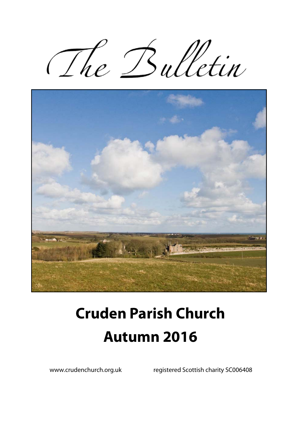The Bulletin



# **Cruden Parish Church Autumn 2016**

www.crudenchurch.org.uk registered Scottish charity SC006408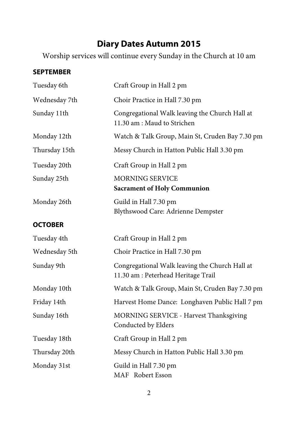## **Diary Dates Autumn 2015**

Worship services will continue every Sunday in the Church at 10 am

#### **SEPTEMBER**

| Tuesday 6th    | Craft Group in Hall 2 pm                                                              |  |  |
|----------------|---------------------------------------------------------------------------------------|--|--|
| Wednesday 7th  | Choir Practice in Hall 7.30 pm                                                        |  |  |
| Sunday 11th    | Congregational Walk leaving the Church Hall at<br>11.30 am : Maud to Strichen         |  |  |
| Monday 12th    | Watch & Talk Group, Main St, Cruden Bay 7.30 pm                                       |  |  |
| Thursday 15th  | Messy Church in Hatton Public Hall 3.30 pm                                            |  |  |
| Tuesday 20th   | Craft Group in Hall 2 pm                                                              |  |  |
| Sunday 25th    | <b>MORNING SERVICE</b><br><b>Sacrament of Holy Communion</b>                          |  |  |
| Monday 26th    | Guild in Hall 7.30 pm<br>Blythswood Care: Adrienne Dempster                           |  |  |
| <b>OCTOBER</b> |                                                                                       |  |  |
| Tuesday 4th    | Craft Group in Hall 2 pm                                                              |  |  |
| Wednesday 5th  | Choir Practice in Hall 7.30 pm                                                        |  |  |
| Sunday 9th     | Congregational Walk leaving the Church Hall at<br>11.30 am : Peterhead Heritage Trail |  |  |
| Monday 10th    | Watch & Talk Group, Main St, Cruden Bay 7.30 pm                                       |  |  |
| Friday 14th    | Harvest Home Dance: Longhaven Public Hall 7 pm                                        |  |  |
| Sunday 16th    | MORNING SERVICE - Harvest Thanksgiving<br>Conducted by Elders                         |  |  |
| Tuesday 18th   | Craft Group in Hall 2 pm                                                              |  |  |
| Thursday 20th  | Messy Church in Hatton Public Hall 3.30 pm                                            |  |  |
| Monday 31st    | Guild in Hall 7.30 pm<br>MAF Robert Esson                                             |  |  |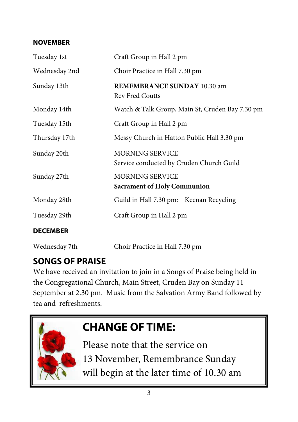#### **NOVEMBER**

| Tuesday 1st     | Craft Group in Hall 2 pm                                           |  |  |  |
|-----------------|--------------------------------------------------------------------|--|--|--|
| Wednesday 2nd   | Choir Practice in Hall 7.30 pm                                     |  |  |  |
| Sunday 13th     | <b>REMEMBRANCE SUNDAY 10.30 am</b><br><b>Rev Fred Coutts</b>       |  |  |  |
| Monday 14th     | Watch & Talk Group, Main St, Cruden Bay 7.30 pm                    |  |  |  |
| Tuesday 15th    | Craft Group in Hall 2 pm                                           |  |  |  |
| Thursday 17th   | Messy Church in Hatton Public Hall 3.30 pm                         |  |  |  |
| Sunday 20th     | <b>MORNING SERVICE</b><br>Service conducted by Cruden Church Guild |  |  |  |
| Sunday 27th     | <b>MORNING SERVICE</b><br><b>Sacrament of Holy Communion</b>       |  |  |  |
| Monday 28th     | Guild in Hall 7.30 pm: Keenan Recycling                            |  |  |  |
| Tuesday 29th    | Craft Group in Hall 2 pm                                           |  |  |  |
| <b>DECEMBER</b> |                                                                    |  |  |  |
| Wednesday 7th   | Choir Practice in Hall 7.30 pm                                     |  |  |  |

## **SONGS OF PRAISE**

We have received an invitation to join in a Songs of Praise being held in the Congregational Church, Main Street, Cruden Bay on Sunday 11 September at 2.30 pm. Music from the Salvation Army Band followed by tea and refreshments.

## **CHANGE OF TIME:**

Please note that the service on 13 November, Remembrance Sunday will begin at the later time of 10.30 am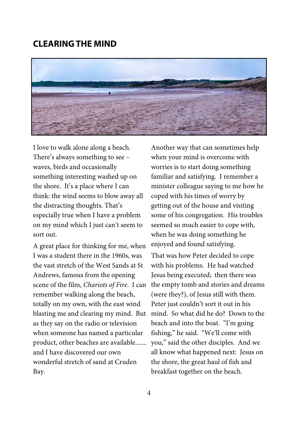#### **CLEARING THE MIND**



I love to walk alone along a beach. There's always something to see – waves, birds and occasionally something interesting washed up on the shore. It's a place where I can think: the wind seems to blow away all the distracting thoughts. That's especially true when I have a problem on my mind which I just can't seem to sort out.

A great place for thinking for me, when I was a student there in the 1960s, was the vast stretch of the West Sands at St Andrews, famous from the opening scene of the film, *Chariots of Fire*. I can remember walking along the beach, totally on my own, with the east wind blasting me and clearing my mind. But as they say on the radio or television when someone has named a particular product, other beaches are available....... and I have discovered our own wonderful stretch of sand at Cruden Bay.

Another way that can sometimes help when your mind is overcome with worries is to start doing something familiar and satisfying. I remember a minister colleague saying to me how he coped with his times of worry by getting out of the house and visiting some of his congregation. His troubles seemed so much easier to cope with, when he was doing something he enjoyed and found satisfying. That was how Peter decided to cope with his problems. He had watched Jesus being executed; then there was the empty tomb and stories and dreams (were they?), of Jesus still with them. Peter just couldn't sort it out in his mind. So what did he do? Down to the beach and into the boat. "I'm going fishing," he said. "We'll come with you," said the other disciples. And we all know what happened next: Jesus on the shore, the great haul of fish and breakfast together on the beach.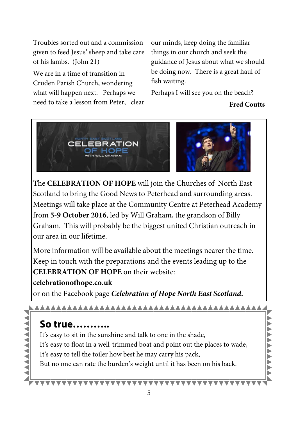Troubles sorted out and a commission given to feed Jesus' sheep and take care of his lambs. (John 21)

We are in a time of transition in Cruden Parish Church, wondering what will happen next. Perhaps we need to take a lesson from Peter, clear our minds, keep doing the familiar things in our church and seek the guidance of Jesus about what we should be doing now. There is a great haul of fish waiting.

Perhaps I will see you on the beach?

#### **Fred Coutts**



The **CELEBRATION OF HOPE** will join the Churches of North East Scotland to bring the Good News to Peterhead and surrounding areas. Meetings will take place at the Community Centre at Peterhead Academy from **5-9 October 2016**, led by Will Graham, the grandson of Billy Graham. This will probably be the biggest united Christian outreach in our area in our lifetime.

More information will be available about the meetings nearer the time. Keep in touch with the preparations and the events leading up to the **CELEBRATION OF HOPE** on their website:

#### **celebrationofhope.co.uk**

or on the Facebook page *Celebration of Hope North East Scotland.*

#### 

### **So true………..**

It's easy to sit in the sunshine and talk to one in the shade, It's easy to float in a well-trimmed boat and point out the places to wade, It's easy to tell the toiler how best he may carry his pack, But no one can rate the burden's weight until it has been on his back.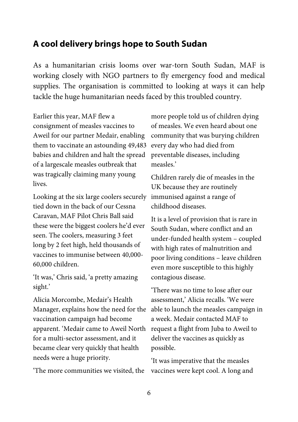#### **A cool delivery brings hope to South Sudan**

As a humanitarian crisis looms over war-torn South Sudan, MAF is working closely with NGO partners to fly emergency food and medical supplies. The organisation is committed to looking at ways it can help tackle the huge humanitarian needs faced by this troubled country.

Earlier this year, MAF flew a consignment of measles vaccines to Aweil for our partner Medair, enabling them to vaccinate an astounding 49,483 babies and children and halt the spread of a largescale measles outbreak that was tragically claiming many young lives.

Looking at the six large coolers securely tied down in the back of our Cessna Caravan, MAF Pilot Chris Ball said these were the biggest coolers he'd ever seen. The coolers, measuring 3 feet long by 2 feet high, held thousands of vaccines to immunise between 40,000- 60,000 children.

'It was,' Chris said, 'a pretty amazing sight.'

Alicia Morcombe, Medair's Health Manager, explains how the need for the vaccination campaign had become apparent. 'Medair came to Aweil North for a multi-sector assessment, and it became clear very quickly that health needs were a huge priority.

'The more communities we visited, the

more people told us of children dying of measles. We even heard about one community that was burying children every day who had died from preventable diseases, including measles.'

Children rarely die of measles in the UK because they are routinely immunised against a range of childhood diseases.

It is a level of provision that is rare in South Sudan, where conflict and an under-funded health system – coupled with high rates of malnutrition and poor living conditions – leave children even more susceptible to this highly contagious disease.

'There was no time to lose after our assessment,' Alicia recalls. 'We were able to launch the measles campaign in a week. Medair contacted MAF to request a flight from Juba to Aweil to deliver the vaccines as quickly as possible.

'It was imperative that the measles vaccines were kept cool. A long and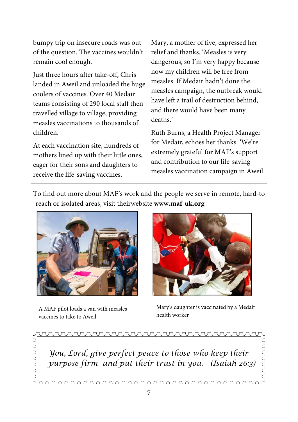bumpy trip on insecure roads was out of the question. The vaccines wouldn't remain cool enough.

Just three hours after take-off, Chris landed in Aweil and unloaded the huge coolers of vaccines. Over 40 Medair teams consisting of 290 local staff then travelled village to village, providing measles vaccinations to thousands of children.

At each vaccination site, hundreds of mothers lined up with their little ones, eager for their sons and daughters to receive the life-saving vaccines.

Mary, a mother of five, expressed her relief and thanks. 'Measles is very dangerous, so I'm very happy because now my children will be free from measles. If Medair hadn't done the measles campaign, the outbreak would have left a trail of destruction behind, and there would have been many deaths.'

Ruth Burns, a Health Project Manager for Medair, echoes her thanks. 'We're extremely grateful for MAF's support and contribution to our life-saving measles vaccination campaign in Aweil

To find out more about MAF's work and the people we serve in remote, hard-to -reach or isolated areas, visit theirwebsite **www.maf-uk.org** 



A MAF pilot loads a van with measles vaccines to take to Aweil



Mary's daughter is vaccinated by a Medair health worker

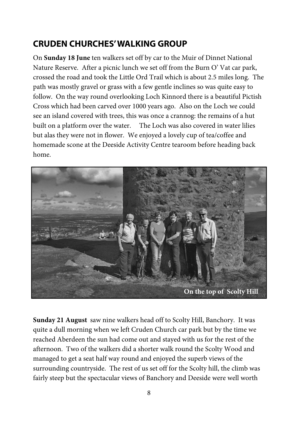## **CRUDEN CHURCHES' WALKING GROUP**

On **Sunday 18 June** ten walkers set off by car to the Muir of Dinnet National Nature Reserve. After a picnic lunch we set off from the Burn O' Vat car park, crossed the road and took the Little Ord Trail which is about 2.5 miles long. The path was mostly gravel or grass with a few gentle inclines so was quite easy to follow. On the way round overlooking Loch Kinnord there is a beautiful Pictish Cross which had been carved over 1000 years ago. Also on the Loch we could see an island covered with trees, this was once a crannog: the remains of a hut built on a platform over the water. The Loch was also covered in water lilies but alas they were not in flower. We enjoyed a lovely cup of tea/coffee and homemade scone at the Deeside Activity Centre tearoom before heading back home.



**Sunday 21 August** saw nine walkers head off to Scolty Hill, Banchory. It was quite a dull morning when we left Cruden Church car park but by the time we reached Aberdeen the sun had come out and stayed with us for the rest of the afternoon. Two of the walkers did a shorter walk round the Scolty Wood and managed to get a seat half way round and enjoyed the superb views of the surrounding countryside. The rest of us set off for the Scolty hill, the climb was fairly steep but the spectacular views of Banchory and Deeside were well worth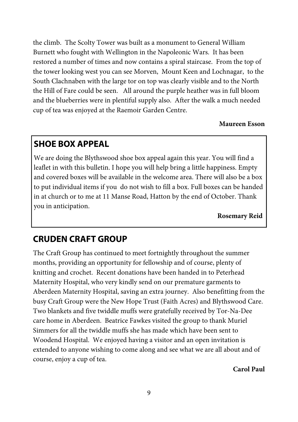the climb. The Scolty Tower was built as a monument to General William Burnett who fought with Wellington in the Napoleonic Wars. It has been restored a number of times and now contains a spiral staircase. From the top of the tower looking west you can see Morven, Mount Keen and Lochnagar, to the South Clachnaben with the large tor on top was clearly visible and to the North the Hill of Fare could be seen. All around the purple heather was in full bloom and the blueberries were in plentiful supply also. After the walk a much needed cup of tea was enjoyed at the Raemoir Garden Centre.

**Maureen Esson** 

## **SHOE BOX APPEAL**

We are doing the Blythswood shoe box appeal again this year. You will find a leaflet in with this bulletin. I hope you will help bring a little happiness. Empty and covered boxes will be available in the welcome area. There will also be a box to put individual items if you do not wish to fill a box. Full boxes can be handed in at church or to me at 11 Manse Road, Hatton by the end of October. Thank you in anticipation.

**Rosemary Reid**

## **CRUDEN CRAFT GROUP**

The Craft Group has continued to meet fortnightly throughout the summer months, providing an opportunity for fellowship and of course, plenty of knitting and crochet. Recent donations have been handed in to Peterhead Maternity Hospital, who very kindly send on our premature garments to Aberdeen Maternity Hospital, saving an extra journey. Also benefitting from the busy Craft Group were the New Hope Trust (Faith Acres) and Blythswood Care. Two blankets and five twiddle muffs were gratefully received by Tor-Na-Dee care home in Aberdeen. Beatrice Fawkes visited the group to thank Muriel Simmers for all the twiddle muffs she has made which have been sent to Woodend Hospital. We enjoyed having a visitor and an open invitation is extended to anyone wishing to come along and see what we are all about and of course, enjoy a cup of tea.

**Carol Paul**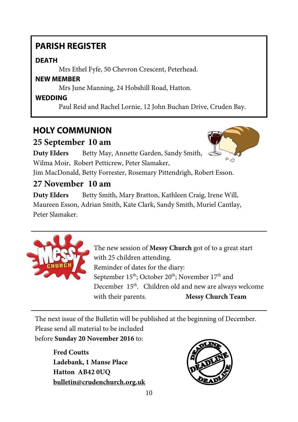## **PARISH REGISTER**

#### **DEATH**

Mrs Ethel Fyfe, 50 Chevron Crescent, Peterhead.

#### **NEW MEMBER**

Mrs June Manning, 24 Hobshill Road, Hatton.

#### **WEDDING**

Paul Reid and Rachel Lornie, 12 John Buchan Drive, Cruden Bay.

## **HOLY COMMUNION**

### **25 September 10 am**

**Duty Elders** Betty May, Annette Garden, Sandy Smith, Wilma Moir, Robert Petticrew, Peter Slamaker,



Jim MacDonald, Betty Forrester, Rosemary Pittendrigh, Robert Esson.

## **27 November 10 am**

**Duty Elders** Betty Smith, Mary Bratton, Kathleen Craig, Irene Will, Maureen Esson, Adrian Smith, Kate Clark, Sandy Smith, Muriel Cantlay, Peter Slamaker.



The new session of **Messy Church** got of to a great start with 25 children attending. Reminder of dates for the diary: September 15<sup>th</sup>; October 20<sup>th</sup>; November 17<sup>th</sup> and December 15<sup>th</sup>. Children old and new are always welcome with their parents. **Messy Church Team** 

The next issue of the Bulletin will be published at the beginning of December. Please send all material to be included before **Sunday 20 November 2016** to:

**Fred Coutts Ladebank, 1 Manse Place Hatton AB42 0UQ bulletin@crudenchurch.org.uk**

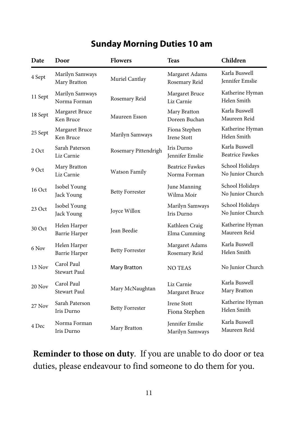## **Sunday Morning Duties 10 am**

| Date    | Door                                 | <b>Flowers</b>         | <b>Teas</b>                               | Children                                |
|---------|--------------------------------------|------------------------|-------------------------------------------|-----------------------------------------|
| 4 Sept  | Marilyn Samways<br>Mary Bratton      | Muriel Cantlay         | Margaret Adams<br>Rosemary Reid           | Karla Buswell<br><b>Iennifer Emslie</b> |
| 11 Sept | Marilyn Samways<br>Norma Forman      | Rosemary Reid          | Margaret Bruce<br>Liz Carnie              | Katherine Hyman<br>Helen Smith          |
| 18 Sept | Margaret Bruce<br>Ken Bruce          | Maureen Esson          | Mary Bratton<br>Doreen Buchan             | Karla Buswell<br>Maureen Reid           |
| 25 Sept | Margaret Bruce<br>Ken Bruce          | Marilyn Samways        | Fiona Stephen<br><b>Irene Stott</b>       | Katherine Hyman<br>Helen Smith          |
| 2 Oct   | Sarah Paterson<br>Liz Carnie         | Rosemary Pittendrigh   | Iris Durno<br><b>Iennifer Emslie</b>      | Karla Buswell<br><b>Beatrice Fawkes</b> |
| 9 Oct   | Mary Bratton<br>Liz Carnie           | <b>Watson Family</b>   | <b>Beatrice Fawkes</b><br>Norma Forman    | School Holidays<br>No Junior Church     |
| 16 Oct  | Isobel Young<br>Jack Young           | <b>Betty Forrester</b> | June Manning<br>Wilma Moir                | School Holidays<br>No Junior Church     |
| 23 Oct  | Isobel Young<br>Jack Young           | Joyce Willox           | Marilyn Samways<br>Iris Durno             | School Holidays<br>No Junior Church     |
| 30 Oct  | Helen Harper<br><b>Barrie Harper</b> | Jean Beedie            | Kathleen Craig<br>Elma Cumming            | Katherine Hyman<br>Maureen Reid         |
| 6 Nov   | Helen Harper<br>Barrie Harper        | <b>Betty Forrester</b> | Margaret Adams<br>Rosemary Reid           | Karla Buswell<br>Helen Smith            |
| 13 Nov  | Carol Paul<br><b>Stewart Paul</b>    | Mary Bratton           | <b>NO TEAS</b>                            | No Junior Church                        |
| 20 Nov  | Carol Paul<br><b>Stewart Paul</b>    | Mary McNaughtan        | Liz Carnie<br>Margaret Bruce              | Karla Buswell<br>Mary Bratton           |
| 27 Nov  | Sarah Paterson<br>Iris Durno         | <b>Betty Forrester</b> | <b>Irene Stott</b><br>Fiona Stephen       | Katherine Hyman<br>Helen Smith          |
| 4 Dec   | Norma Forman<br>Iris Durno           | Mary Bratton           | <b>Iennifer Emslie</b><br>Marilyn Samways | Karla Buswell<br>Maureen Reid           |

**Reminder to those on duty**. If you are unable to do door or tea duties, please endeavour to find someone to do them for you.